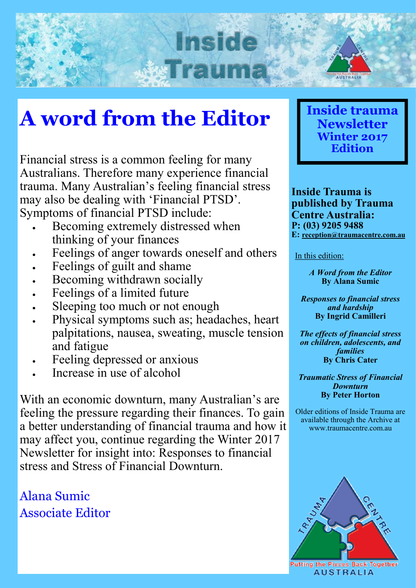## **A word from the Editor**

Inside

Financial stress is a common feeling for many Australians. Therefore many experience financial trauma. Many Australian's feeling financial stress may also be dealing with 'Financial PTSD'. Symptoms of financial PTSD include:

- Becoming extremely distressed when thinking of your finances
- Feelings of anger towards oneself and others
- Feelings of guilt and shame
- Becoming withdrawn socially
- Feelings of a limited future
- Sleeping too much or not enough
- Physical symptoms such as; headaches, heart palpitations, nausea, sweating, muscle tension and fatigue
- Feeling depressed or anxious
- Increase in use of alcohol

With an economic downturn, many Australian's are feeling the pressure regarding their finances. To gain a better understanding of financial trauma and how it may affect you, continue regarding the Winter 2017 Newsletter for insight into: Responses to financial stress and Stress of Financial Downturn.

Alana Sumic Associate Editor



**Inside Trauma is published by Trauma Centre Australia: P: (03) 9205 9488 E: [reception@traumacentre.com.au](mailto:reception@traumacentre.com.au)**

In this edition:

*A Word from the Editor* **By Alana Sumic**

*Responses to financial stress and hardship* **By Ingrid Camilleri**

*The effects of financial stress on children, adolescents, and families* **By Chris Cater**

*Traumatic Stress of Financial Downturn* **By Peter Horton**

Older editions of Inside Trauma are available through the Archive at www.traumacentre.com.au

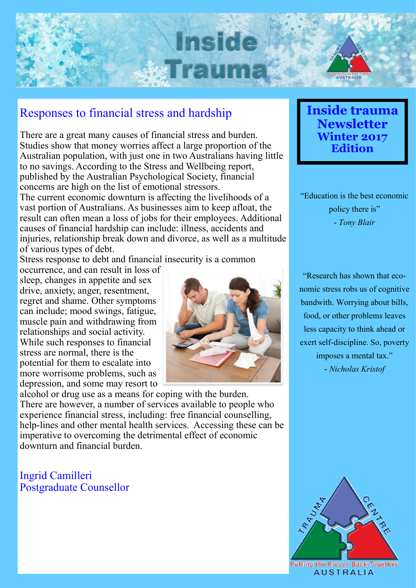

#### Responses to financial stress and hardship

There are a great many causes of financial stress and burden. Studies show that money worries affect a large proportion of the Australian population, with just one in two Australians having little to no savings. According to the Stress and Wellbeing report, published by the Australian Psychological Society, financial concerns are high on the list of emotional stressors.

The current economic downturn is affecting the livelihoods of a vast portion of Australians. As businesses aim to keep afloat, the result can often mean a loss of jobs for their employees. Additional causes of financial hardship can include: illness, accidents and injuries, relationship break down and divorce, as well as a multitude of various types of debt.

Stress response to debt and financial insecurity is a common

occurrence, and can result in loss of sleep, changes in appetite and sex drive, anxiety, anger, resentment, regret and shame. Other symptoms can include; mood swings, fatigue, muscle pain and withdrawing from relationships and social activity. While such responses to financial stress are normal, there is the potential for them to escalate into more worrisome problems, such as depression, and some may resort to



alcohol or drug use as a means for coping with the burden. There are however, a number of services available to people who experience financial stress, including: free financial counselling, help-lines and other mental health services. Accessing these can be imperative to overcoming the detrimental effect of economic downturn and financial burden.

Ingrid Camilleri Postgraduate Counsellor **Inside trauma Newsletter Winter 2017 Edition**

"Education is the best economic policy there is" - *Tony Blair*

"Research has shown that economic stress robs us of cognitive bandwith. Worrying about bills, food, or other problems leaves less capacity to think ahead or exert self-discipline. So, poverty imposes a mental tax." - *Nicholas Kristof*

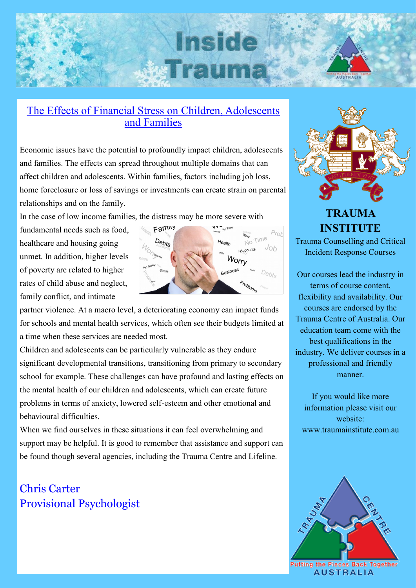## **Inside WIFAUM**



#### The Effects of Financial Stress on Children, Adolescents and Families

Economic issues have the potential to profoundly impact children, adolescents and families. The effects can spread throughout multiple domains that can affect children and adolescents. Within families, factors including job loss, home foreclosure or loss of savings or investments can create strain on parental relationships and on the family.

In the case of low income families, the distress may be more severe with

fundamental needs such as food, healthcare and housing going unmet. In addition, higher levels of poverty are related to higher rates of child abuse and neglect, family conflict, and intimate



partner violence. At a macro level, a deteriorating economy can impact funds for schools and mental health services, which often see their budgets limited at a time when these services are needed most.

Children and adolescents can be particularly vulnerable as they endure significant developmental transitions, transitioning from primary to secondary school for example. These challenges can have profound and lasting effects on the mental health of our children and adolescents, which can create future problems in terms of anxiety, lowered self-esteem and other emotional and behavioural difficulties.

When we find ourselves in these situations it can feel overwhelming and support may be helpful. It is good to remember that assistance and support can be found though several agencies, including the Trauma Centre and Lifeline.

### Chris Carter Provisional Psychologist



## **TRAUMA INSTITUTE**

Trauma Counselling and Critical Incident Response Courses

Our courses lead the industry in terms of course content, flexibility and availability. Our courses are endorsed by the Trauma Centre of Australia. Our education team come with the best qualifications in the industry. We deliver courses in a professional and friendly manner.

If you would like more information please visit our website: www.traumainstitute.com.au

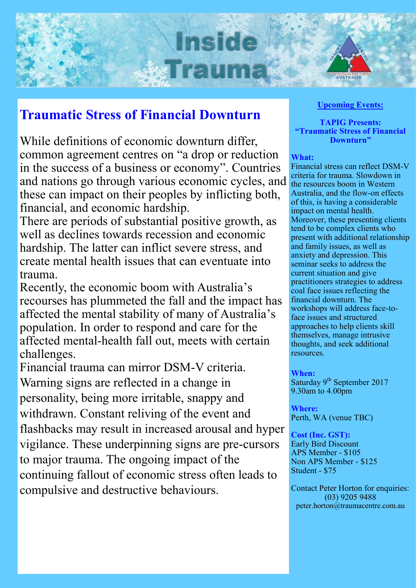# Inside **MIRSH**

## **Traumatic Stress of Financial Downturn**

While definitions of economic downturn differ, common agreement centres on "a drop or reduction in the success of a business or economy". Countries and nations go through various economic cycles, and these can impact on their peoples by inflicting both, financial, and economic hardship.

There are periods of substantial positive growth, as well as declines towards recession and economic hardship. The latter can inflict severe stress, and create mental health issues that can eventuate into trauma.

Recently, the economic boom with Australia's recourses has plummeted the fall and the impact has affected the mental stability of many of Australia's population. In order to respond and care for the affected mental-health fall out, meets with certain challenges.

Financial trauma can mirror DSM-V criteria. Warning signs are reflected in a change in personality, being more irritable, snappy and withdrawn. Constant reliving of the event and flashbacks may result in increased arousal and hyper vigilance. These underpinning signs are pre-cursors to major trauma. The ongoing impact of the continuing fallout of economic stress often leads to compulsive and destructive behaviours.

#### **Upcoming Events:**

#### **TAPIG Presents: "Traumatic Stress of Financial Downturn"**

#### **What:**

Financial stress can reflect DSM-V criteria for trauma. Slowdown in the resources boom in Western Australia, and the flow-on effects of this, is having a considerable impact on mental health. Moreover, these presenting clients tend to be complex clients who present with additional relationship and family issues, as well as anxiety and depression. This seminar seeks to address the current situation and give practitioners strategies to address coal face issues reflecting the financial downturn. The workshops will address face-toface issues and structured approaches to help clients skill themselves, manage intrusive thoughts, and seek additional resources.

#### **When:**

Saturday 9<sup>th</sup> September 2017 9.30am to 4.00pm

**Where:** Perth, WA (venue TBC)

#### **Cost (Inc. GST):**

Early Bird Discount APS Member - \$105 Non APS Member - \$125 Student - \$75

Contact Peter Horton for enquiries: (03) 9205 9488 peter.horton@traumacentre.com.au